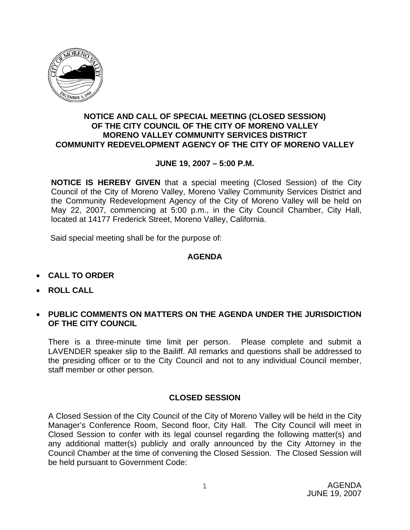

### **NOTICE AND CALL OF SPECIAL MEETING (CLOSED SESSION) OF THE CITY COUNCIL OF THE CITY OF MORENO VALLEY MORENO VALLEY COMMUNITY SERVICES DISTRICT COMMUNITY REDEVELOPMENT AGENCY OF THE CITY OF MORENO VALLEY**

### **JUNE 19, 2007 – 5:00 P.M.**

**NOTICE IS HEREBY GIVEN** that a special meeting (Closed Session) of the City Council of the City of Moreno Valley, Moreno Valley Community Services District and the Community Redevelopment Agency of the City of Moreno Valley will be held on May 22, 2007, commencing at 5:00 p.m., in the City Council Chamber, City Hall, located at 14177 Frederick Street, Moreno Valley, California.

Said special meeting shall be for the purpose of:

#### **AGENDA**

- **CALL TO ORDER**
- **ROLL CALL**
- **PUBLIC COMMENTS ON MATTERS ON THE AGENDA UNDER THE JURISDICTION OF THE CITY COUNCIL**

There is a three-minute time limit per person. Please complete and submit a LAVENDER speaker slip to the Bailiff. All remarks and questions shall be addressed to the presiding officer or to the City Council and not to any individual Council member, staff member or other person.

# **CLOSED SESSION**

A Closed Session of the City Council of the City of Moreno Valley will be held in the City Manager's Conference Room, Second floor, City Hall. The City Council will meet in Closed Session to confer with its legal counsel regarding the following matter(s) and any additional matter(s) publicly and orally announced by the City Attorney in the Council Chamber at the time of convening the Closed Session. The Closed Session will be held pursuant to Government Code: